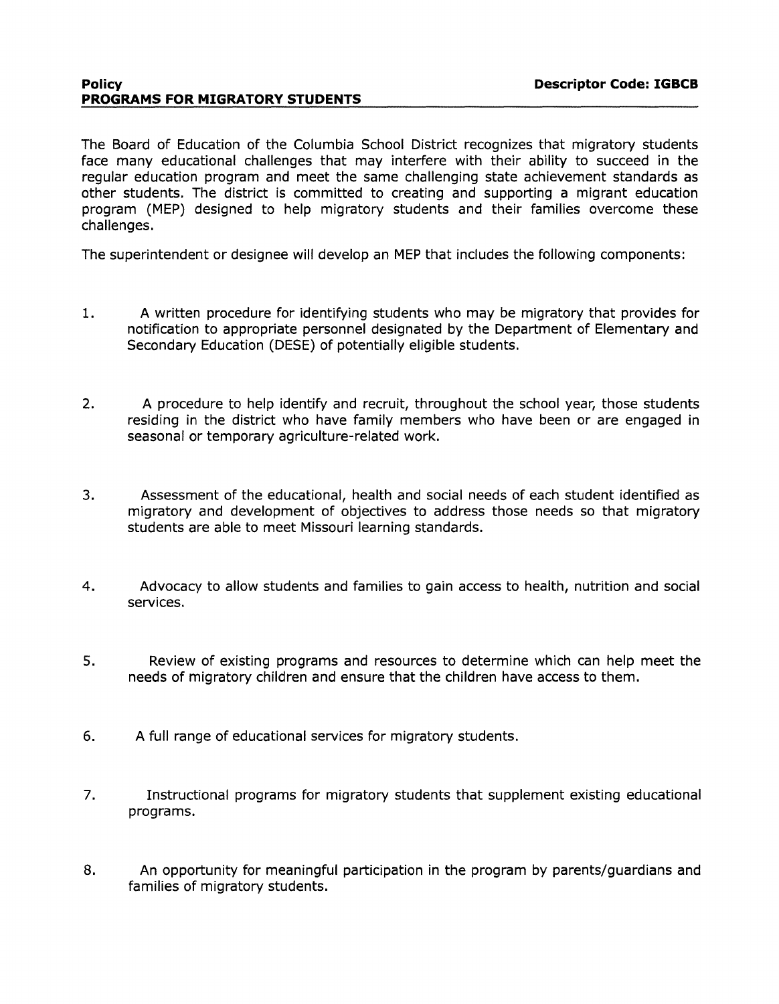#### **Policy Descriptor Code: IGBCB PROGRAMS FOR MIGRATORY STUDENTS**

The Board of Education of the Columbia School District recognizes that migratory students face many educational challenges that may interfere with their ability to succeed in the regular education program and meet the same challenging state achievement standards as other students. The district is committed to creating and supporting a migrant education program (MEP) designed to help migratory students and their families overcome these challenges.

The superintendent or designee will develop an MEP that includes the following components:

- 1. A written procedure for identifying students who may be migratory that provides for notification to appropriate personnel designated by the Department of Elementary and Secondary Education (DESE) of potentially eligible students.
- 2. A procedure to help identify and recruit, throughout the school year, those students residing in the district who have family members who have been or are engaged in seasonal or temporary agriculture-related work.
- 3. Assessment of the educational, health and social needs of each student identified as migratory and development of objectives to address those needs so that migratory students are able to meet Missouri learning standards.
- 4. Advocacy to allow students and families to gain access to health, nutrition and social services.
- 5. Review of existing programs and resources to determine which can help meet the needs of migratory children and ensure that the children have access to them.
- 6. A full range of educational services for migratory students.
- 7. Instructional programs for migratory students that supplement existing educational programs.
- 8. An opportunity for meaningful participation in the program by parents/guardians and families of migratory students.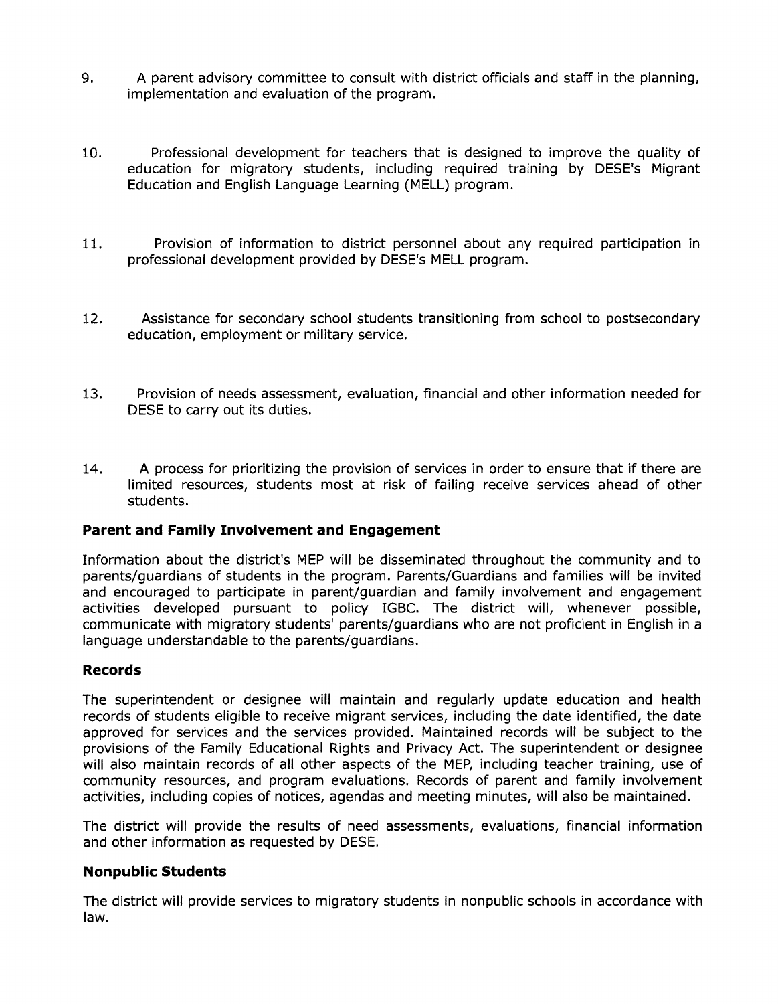- 9. A parent advisory committee to consult with district officials and staff in the planning, implementation and evaluation of the program.
- 10. Professional development for teachers that is designed to improve the quality of education for migratory students, including required training by DESE's Migrant Education and English Language Learning (MELL) program.
- 11. Provision of information to district personnel about any required participation in professional development provided by DESE's MELL program.
- 12. Assistance for secondary school students transitioning from school to postsecondary education, employment or military service.
- 13. Provision of needs assessment, evaluation, financial and other information needed for DESE to carry out its duties.
- 14. A process for prioritizing the provision of services in order to ensure that if there are limited resources, students most at risk of failing receive services ahead of other students.

# **Parent and Family Involvement and Engagement**

Information about the district's MEP will be disseminated throughout the community and to parents/guardians of students in the program. Parents/Guardians and families will be invited and encouraged to participate in parent/guardian and family involvement and engagement activities developed pursuant to policy IGBC. The district will, whenever possible, communicate with migratory students' parents/guardians who are not proficient in English in a language understandable to the parents/guardians.

# **Records**

The superintendent or designee will maintain and regularly update education and health records of students eligible to receive migrant services, including the date identified, the date approved for services and the services provided. Maintained records will be subject to the provisions of the Family Educational Rights and Privacy Act. The superintendent or designee will also maintain records of all other aspects of the MEP, including teacher training, use of community resources, and program evaluations. Records of parent and family involvement activities, including copies of notices, agendas and meeting minutes, will also be maintained.

The district will provide the results of need assessments, evaluations, financial information and other information as requested by DESE.

# **Nonpublic Students**

The district will provide services to migratory students in nonpublic schools in accordance with law.